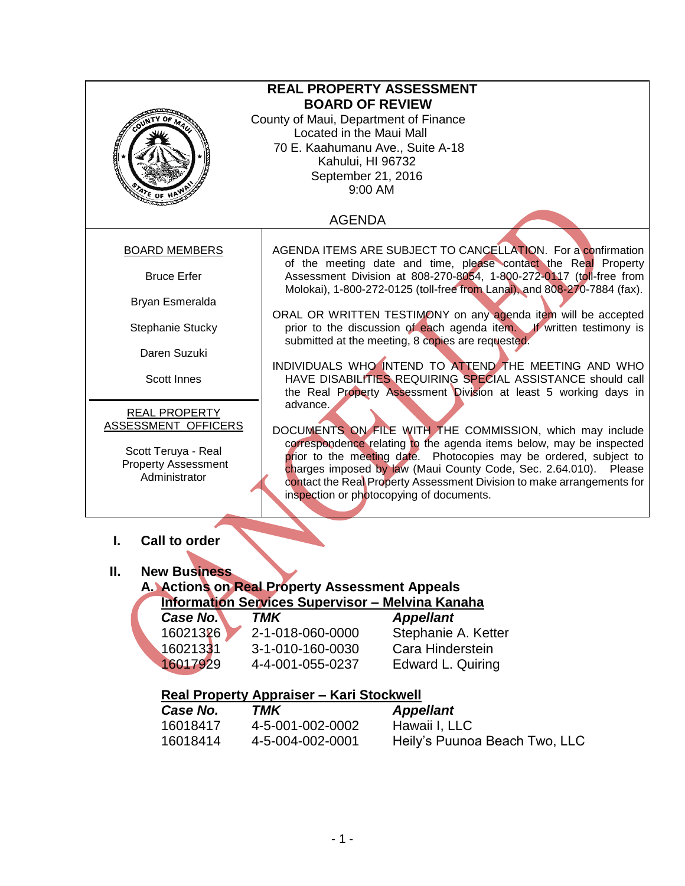| <b>REAL PROPERTY ASSESSMENT</b>                              |                                                                                                                                            |                                                                                                                                                                                                                   |  |  |
|--------------------------------------------------------------|--------------------------------------------------------------------------------------------------------------------------------------------|-------------------------------------------------------------------------------------------------------------------------------------------------------------------------------------------------------------------|--|--|
|                                                              |                                                                                                                                            |                                                                                                                                                                                                                   |  |  |
|                                                              | <b>BOARD OF REVIEW</b>                                                                                                                     |                                                                                                                                                                                                                   |  |  |
| County of Maui, Department of Finance                        |                                                                                                                                            |                                                                                                                                                                                                                   |  |  |
| Located in the Maui Mall<br>70 E. Kaahumanu Ave., Suite A-18 |                                                                                                                                            |                                                                                                                                                                                                                   |  |  |
|                                                              | Kahului, HI 96732                                                                                                                          |                                                                                                                                                                                                                   |  |  |
|                                                              | September 21, 2016                                                                                                                         |                                                                                                                                                                                                                   |  |  |
|                                                              | 9:00 AM                                                                                                                                    |                                                                                                                                                                                                                   |  |  |
| ATE OF                                                       |                                                                                                                                            |                                                                                                                                                                                                                   |  |  |
|                                                              | <b>AGENDA</b>                                                                                                                              |                                                                                                                                                                                                                   |  |  |
| <b>BOARD MEMBERS</b>                                         |                                                                                                                                            | AGENDA ITEMS ARE SUBJECT TO CANCELLATION. For a confirmation                                                                                                                                                      |  |  |
| <b>Bruce Erfer</b>                                           |                                                                                                                                            | of the meeting date and time, please contact the Real Property<br>Assessment Division at 808-270-8054, 1-800-272-0117 (toll-free from<br>Molokai), 1-800-272-0125 (toll-free from Lanai), and 808-270-7884 (fax). |  |  |
| Bryan Esmeralda                                              |                                                                                                                                            |                                                                                                                                                                                                                   |  |  |
| Stephanie Stucky                                             |                                                                                                                                            | ORAL OR WRITTEN TESTIMONY on any agenda item will be accepted<br>prior to the discussion of each agenda item. If written testimony is<br>submitted at the meeting, 8 copies are requested.                        |  |  |
| Daren Suzuki                                                 |                                                                                                                                            |                                                                                                                                                                                                                   |  |  |
|                                                              |                                                                                                                                            | INDIVIDUALS WHO INTEND TO ATTEND THE MEETING AND WHO                                                                                                                                                              |  |  |
| Scott Innes                                                  | HAVE DISABILITIES REQUIRING SPECIAL ASSISTANCE should call<br>the Real Property Assessment Division at least 5 working days in             |                                                                                                                                                                                                                   |  |  |
| <b>REAL PROPERTY</b>                                         | advance.                                                                                                                                   |                                                                                                                                                                                                                   |  |  |
| ASSESSMENT OFFICERS                                          | DOCUMENTS ON FILE WITH THE COMMISSION, which may include                                                                                   |                                                                                                                                                                                                                   |  |  |
|                                                              | correspondence relating to the agenda items below, may be inspected                                                                        |                                                                                                                                                                                                                   |  |  |
| Scott Teruya - Real<br><b>Property Assessment</b>            | prior to the meeting date. Photocopies may be ordered, subject to                                                                          |                                                                                                                                                                                                                   |  |  |
| Administrator                                                | charges imposed by law (Maui County Code, Sec. 2.64.010). Please<br>contact the Real Property Assessment Division to make arrangements for |                                                                                                                                                                                                                   |  |  |
|                                                              |                                                                                                                                            | inspection or photocopying of documents.                                                                                                                                                                          |  |  |
|                                                              |                                                                                                                                            |                                                                                                                                                                                                                   |  |  |
|                                                              |                                                                                                                                            |                                                                                                                                                                                                                   |  |  |
| <b>Call to order</b><br>L.                                   |                                                                                                                                            |                                                                                                                                                                                                                   |  |  |
|                                                              |                                                                                                                                            |                                                                                                                                                                                                                   |  |  |
| н.<br><b>New Business</b>                                    |                                                                                                                                            |                                                                                                                                                                                                                   |  |  |
|                                                              | A. Actions on Real Property Assessment Appeals                                                                                             |                                                                                                                                                                                                                   |  |  |
|                                                              | <b>Information Services Supervisor - Melvina Kanaha</b>                                                                                    |                                                                                                                                                                                                                   |  |  |
| Case No.                                                     | <b>TMK</b>                                                                                                                                 | <b>Appellant</b>                                                                                                                                                                                                  |  |  |
| 16021326                                                     | 2-1-018-060-0000                                                                                                                           | Stephanie A. Ketter                                                                                                                                                                                               |  |  |
| 160213 <b>3</b> 1                                            | 3-1-010-160-0030                                                                                                                           | Cara Hinderstein                                                                                                                                                                                                  |  |  |
| 16017929                                                     | 4-4-001-055-0237                                                                                                                           | Edward L. Quiring                                                                                                                                                                                                 |  |  |
|                                                              |                                                                                                                                            |                                                                                                                                                                                                                   |  |  |
| Case No.                                                     | Real Property Appraiser - Kari Stockwell<br><b>TMK</b>                                                                                     |                                                                                                                                                                                                                   |  |  |
| 16018417                                                     |                                                                                                                                            | <b>Appellant</b>                                                                                                                                                                                                  |  |  |
|                                                              | 4-5-001-002-0002                                                                                                                           | Hawaii I, LLC                                                                                                                                                                                                     |  |  |
| 16018414                                                     | 4-5-004-002-0001                                                                                                                           | Heily's Puunoa Beach Two, LLC                                                                                                                                                                                     |  |  |
|                                                              |                                                                                                                                            |                                                                                                                                                                                                                   |  |  |
|                                                              |                                                                                                                                            |                                                                                                                                                                                                                   |  |  |